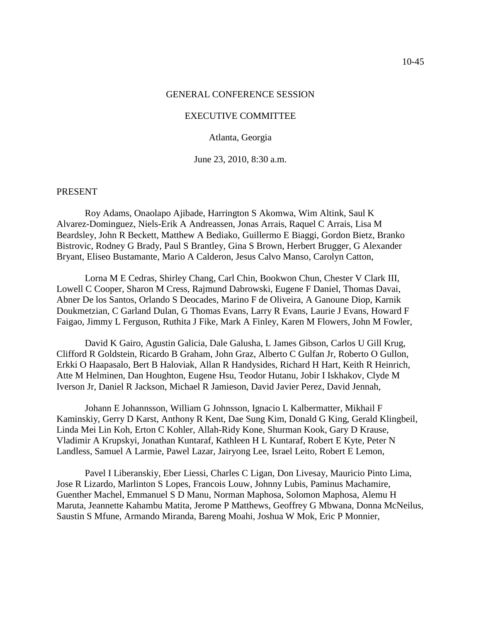#### GENERAL CONFERENCE SESSION

#### EXECUTIVE COMMITTEE

#### Atlanta, Georgia

June 23, 2010, 8:30 a.m.

#### PRESENT

Roy Adams, Onaolapo Ajibade, Harrington S Akomwa, Wim Altink, Saul K Alvarez-Dominguez, Niels-Erik A Andreassen, Jonas Arrais, Raquel C Arrais, Lisa M Beardsley, John R Beckett, Matthew A Bediako, Guillermo E Biaggi, Gordon Bietz, Branko Bistrovic, Rodney G Brady, Paul S Brantley, Gina S Brown, Herbert Brugger, G Alexander Bryant, Eliseo Bustamante, Mario A Calderon, Jesus Calvo Manso, Carolyn Catton,

Lorna M E Cedras, Shirley Chang, Carl Chin, Bookwon Chun, Chester V Clark III, Lowell C Cooper, Sharon M Cress, Rajmund Dabrowski, Eugene F Daniel, Thomas Davai, Abner De los Santos, Orlando S Deocades, Marino F de Oliveira, A Ganoune Diop, Karnik Doukmetzian, C Garland Dulan, G Thomas Evans, Larry R Evans, Laurie J Evans, Howard F Faigao, Jimmy L Ferguson, Ruthita J Fike, Mark A Finley, Karen M Flowers, John M Fowler,

David K Gairo, Agustin Galicia, Dale Galusha, L James Gibson, Carlos U Gill Krug, Clifford R Goldstein, Ricardo B Graham, John Graz, Alberto C Gulfan Jr, Roberto O Gullon, Erkki O Haapasalo, Bert B Haloviak, Allan R Handysides, Richard H Hart, Keith R Heinrich, Atte M Helminen, Dan Houghton, Eugene Hsu, Teodor Hutanu, Jobir I Iskhakov, Clyde M Iverson Jr, Daniel R Jackson, Michael R Jamieson, David Javier Perez, David Jennah,

Johann E Johannsson, William G Johnsson, Ignacio L Kalbermatter, Mikhail F Kaminskiy, Gerry D Karst, Anthony R Kent, Dae Sung Kim, Donald G King, Gerald Klingbeil, Linda Mei Lin Koh, Erton C Kohler, Allah-Ridy Kone, Shurman Kook, Gary D Krause, Vladimir A Krupskyi, Jonathan Kuntaraf, Kathleen H L Kuntaraf, Robert E Kyte, Peter N Landless, Samuel A Larmie, Pawel Lazar, Jairyong Lee, Israel Leito, Robert E Lemon,

Pavel I Liberanskiy, Eber Liessi, Charles C Ligan, Don Livesay, Mauricio Pinto Lima, Jose R Lizardo, Marlinton S Lopes, Francois Louw, Johnny Lubis, Paminus Machamire, Guenther Machel, Emmanuel S D Manu, Norman Maphosa, Solomon Maphosa, Alemu H Maruta, Jeannette Kahambu Matita, Jerome P Matthews, Geoffrey G Mbwana, Donna McNeilus, Saustin S Mfune, Armando Miranda, Bareng Moahi, Joshua W Mok, Eric P Monnier,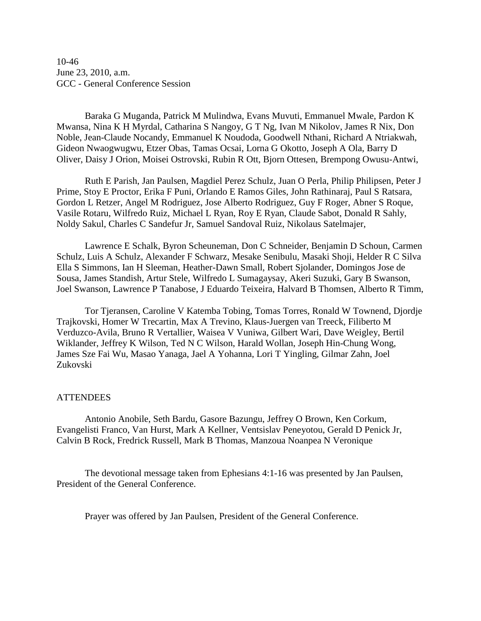10-46 June 23, 2010, a.m. GCC - General Conference Session

Baraka G Muganda, Patrick M Mulindwa, Evans Muvuti, Emmanuel Mwale, Pardon K Mwansa, Nina K H Myrdal, Catharina S Nangoy, G T Ng, Ivan M Nikolov, James R Nix, Don Noble, Jean-Claude Nocandy, Emmanuel K Noudoda, Goodwell Nthani, Richard A Ntriakwah, Gideon Nwaogwugwu, Etzer Obas, Tamas Ocsai, Lorna G Okotto, Joseph A Ola, Barry D Oliver, Daisy J Orion, Moisei Ostrovski, Rubin R Ott, Bjorn Ottesen, Brempong Owusu-Antwi,

Ruth E Parish, Jan Paulsen, Magdiel Perez Schulz, Juan O Perla, Philip Philipsen, Peter J Prime, Stoy E Proctor, Erika F Puni, Orlando E Ramos Giles, John Rathinaraj, Paul S Ratsara, Gordon L Retzer, Angel M Rodriguez, Jose Alberto Rodriguez, Guy F Roger, Abner S Roque, Vasile Rotaru, Wilfredo Ruiz, Michael L Ryan, Roy E Ryan, Claude Sabot, Donald R Sahly, Noldy Sakul, Charles C Sandefur Jr, Samuel Sandoval Ruiz, Nikolaus Satelmajer,

Lawrence E Schalk, Byron Scheuneman, Don C Schneider, Benjamin D Schoun, Carmen Schulz, Luis A Schulz, Alexander F Schwarz, Mesake Senibulu, Masaki Shoji, Helder R C Silva Ella S Simmons, Ian H Sleeman, Heather-Dawn Small, Robert Sjolander, Domingos Jose de Sousa, James Standish, Artur Stele, Wilfredo L Sumagaysay, Akeri Suzuki, Gary B Swanson, Joel Swanson, Lawrence P Tanabose, J Eduardo Teixeira, Halvard B Thomsen, Alberto R Timm,

Tor Tjeransen, Caroline V Katemba Tobing, Tomas Torres, Ronald W Townend, Djordje Trajkovski, Homer W Trecartin, Max A Trevino, Klaus-Juergen van Treeck, Filiberto M Verduzco-Avila, Bruno R Vertallier, Waisea V Vuniwa, Gilbert Wari, Dave Weigley, Bertil Wiklander, Jeffrey K Wilson, Ted N C Wilson, Harald Wollan, Joseph Hin-Chung Wong, James Sze Fai Wu, Masao Yanaga, Jael A Yohanna, Lori T Yingling, Gilmar Zahn, Joel Zukovski

#### ATTENDEES

Antonio Anobile, Seth Bardu, Gasore Bazungu, Jeffrey O Brown, Ken Corkum, Evangelisti Franco, Van Hurst, Mark A Kellner, Ventsislav Peneyotou, Gerald D Penick Jr, Calvin B Rock, Fredrick Russell, Mark B Thomas, Manzoua Noanpea N Veronique

The devotional message taken from Ephesians 4:1-16 was presented by Jan Paulsen, President of the General Conference.

Prayer was offered by Jan Paulsen, President of the General Conference.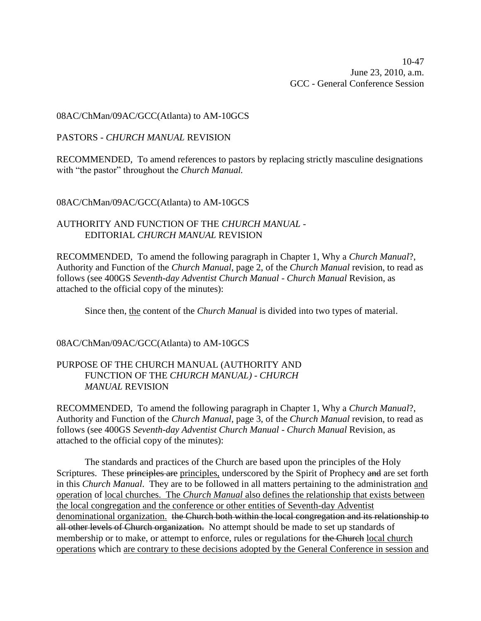10-47 June 23, 2010, a.m. GCC - General Conference Session

08AC/ChMan/09AC/GCC(Atlanta) to AM-10GCS

PASTORS - *CHURCH MANUAL* REVISION

RECOMMENDED, To amend references to pastors by replacing strictly masculine designations with "the pastor" throughout the *Church Manual.*

08AC/ChMan/09AC/GCC(Atlanta) to AM-10GCS

AUTHORITY AND FUNCTION OF THE *CHURCH MANUAL* - EDITORIAL *CHURCH MANUAL* REVISION

RECOMMENDED, To amend the following paragraph in Chapter 1, Why a *Church Manual*?, Authority and Function of the *Church Manual*, page 2, of the *Church Manual* revision, to read as follows (see 400GS *Seventh-day Adventist Church Manual* - *Church Manual* Revision, as attached to the official copy of the minutes):

Since then, the content of the *Church Manual* is divided into two types of material.

08AC/ChMan/09AC/GCC(Atlanta) to AM-10GCS

## PURPOSE OF THE CHURCH MANUAL (AUTHORITY AND FUNCTION OF THE *CHURCH MANUAL)* - *CHURCH MANUAL* REVISION

RECOMMENDED, To amend the following paragraph in Chapter 1, Why a *Church Manual*?, Authority and Function of the *Church Manual*, page 3, of the *Church Manual* revision, to read as follows (see 400GS *Seventh-day Adventist Church Manual* - *Church Manual* Revision, as attached to the official copy of the minutes):

The standards and practices of the Church are based upon the principles of the Holy Scriptures. These principles are principles, underscored by the Spirit of Prophecy and are set forth in this *Church Manual*. They are to be followed in all matters pertaining to the administration and operation of local churches. The *Church Manual* also defines the relationship that exists between the local congregation and the conference or other entities of Seventh-day Adventist denominational organization. the Church both within the local congregation and its relationship to all other levels of Church organization. No attempt should be made to set up standards of membership or to make, or attempt to enforce, rules or regulations for the Church local church operations which are contrary to these decisions adopted by the General Conference in session and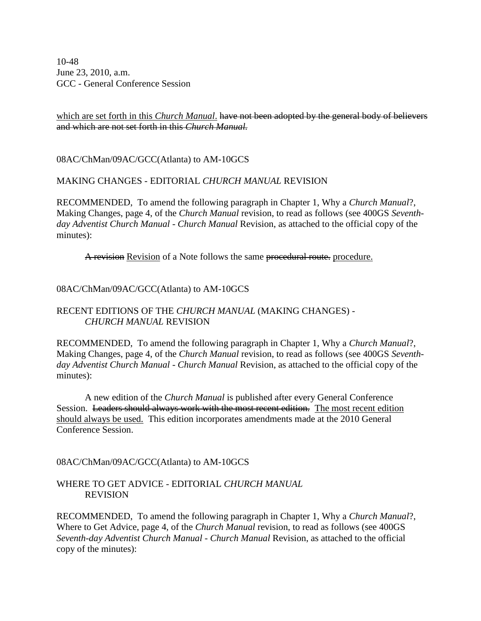10-48 June 23, 2010, a.m. GCC - General Conference Session

## which are set forth in this *Church Manual*. have not been adopted by the general body of believers and which are not set forth in this *Church Manual.*

08AC/ChMan/09AC/GCC(Atlanta) to AM-10GCS

## MAKING CHANGES - EDITORIAL *CHURCH MANUAL* REVISION

RECOMMENDED, To amend the following paragraph in Chapter 1, Why a *Church Manual*?, Making Changes, page 4, of the *Church Manual* revision, to read as follows (see 400GS *Seventhday Adventist Church Manual* - *Church Manual* Revision, as attached to the official copy of the minutes):

A revision Revision of a Note follows the same procedural route. procedure.

### 08AC/ChMan/09AC/GCC(Atlanta) to AM-10GCS

## RECENT EDITIONS OF THE *CHURCH MANUAL* (MAKING CHANGES) - *CHURCH MANUAL* REVISION

RECOMMENDED, To amend the following paragraph in Chapter 1, Why a *Church Manual*?, Making Changes, page 4, of the *Church Manual* revision, to read as follows (see 400GS *Seventhday Adventist Church Manual* - *Church Manual* Revision, as attached to the official copy of the minutes):

A new edition of the *Church Manual* is published after every General Conference Session. Leaders should always work with the most recent edition. The most recent edition should always be used. This edition incorporates amendments made at the 2010 General Conference Session.

## 08AC/ChMan/09AC/GCC(Atlanta) to AM-10GCS

## WHERE TO GET ADVICE - EDITORIAL *CHURCH MANUAL* REVISION

RECOMMENDED, To amend the following paragraph in Chapter 1, Why a *Church Manual*?, Where to Get Advice, page 4, of the *Church Manual* revision, to read as follows (see 400GS *Seventh-day Adventist Church Manual* - *Church Manual* Revision, as attached to the official copy of the minutes):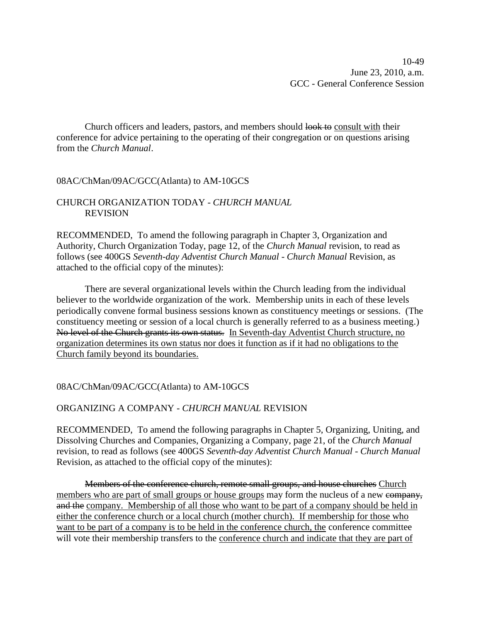Church officers and leaders, pastors, and members should look to consult with their conference for advice pertaining to the operating of their congregation or on questions arising from the *Church Manual*.

## 08AC/ChMan/09AC/GCC(Atlanta) to AM-10GCS

## CHURCH ORGANIZATION TODAY - *CHURCH MANUAL* REVISION

RECOMMENDED, To amend the following paragraph in Chapter 3, Organization and Authority, Church Organization Today, page 12, of the *Church Manual* revision, to read as follows (see 400GS *Seventh-day Adventist Church Manual* - *Church Manual* Revision, as attached to the official copy of the minutes):

There are several organizational levels within the Church leading from the individual believer to the worldwide organization of the work. Membership units in each of these levels periodically convene formal business sessions known as constituency meetings or sessions. (The constituency meeting or session of a local church is generally referred to as a business meeting.) No level of the Church grants its own status. In Seventh-day Adventist Church structure, no organization determines its own status nor does it function as if it had no obligations to the Church family beyond its boundaries.

## 08AC/ChMan/09AC/GCC(Atlanta) to AM-10GCS

## ORGANIZING A COMPANY - *CHURCH MANUAL* REVISION

RECOMMENDED, To amend the following paragraphs in Chapter 5, Organizing, Uniting, and Dissolving Churches and Companies, Organizing a Company, page 21, of the *Church Manual* revision, to read as follows (see 400GS *Seventh-day Adventist Church Manual* - *Church Manual* Revision, as attached to the official copy of the minutes):

Members of the conference church, remote small groups, and house churches Church members who are part of small groups or house groups may form the nucleus of a new company, and the company. Membership of all those who want to be part of a company should be held in either the conference church or a local church (mother church). If membership for those who want to be part of a company is to be held in the conference church, the conference committee will vote their membership transfers to the conference church and indicate that they are part of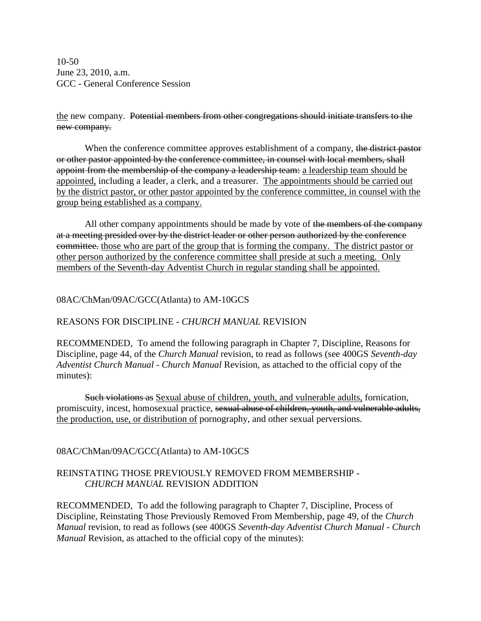10-50 June 23, 2010, a.m. GCC - General Conference Session

the new company. Potential members from other congregations should initiate transfers to the new company.

When the conference committee approves establishment of a company, the district pastor or other pastor appointed by the conference committee, in counsel with local members, shall appoint from the membership of the company a leadership team: a leadership team should be appointed, including a leader, a clerk, and a treasurer. The appointments should be carried out by the district pastor, or other pastor appointed by the conference committee, in counsel with the group being established as a company.

All other company appointments should be made by vote of the members of the company at a meeting presided over by the district leader or other person authorized by the conference committee. those who are part of the group that is forming the company. The district pastor or other person authorized by the conference committee shall preside at such a meeting. Only members of the Seventh-day Adventist Church in regular standing shall be appointed.

## 08AC/ChMan/09AC/GCC(Atlanta) to AM-10GCS

## REASONS FOR DISCIPLINE - *CHURCH MANUAL* REVISION

RECOMMENDED, To amend the following paragraph in Chapter 7, Discipline, Reasons for Discipline, page 44, of the *Church Manual* revision, to read as follows (see 400GS *Seventh-day Adventist Church Manual* - *Church Manual* Revision, as attached to the official copy of the minutes):

Such violations as Sexual abuse of children, youth, and vulnerable adults, fornication, promiscuity, incest, homosexual practice, sexual abuse of children, youth, and vulnerable adults, the production, use, or distribution of pornography, and other sexual perversions.

## 08AC/ChMan/09AC/GCC(Atlanta) to AM-10GCS

## REINSTATING THOSE PREVIOUSLY REMOVED FROM MEMBERSHIP - *CHURCH MANUAL* REVISION ADDITION

RECOMMENDED, To add the following paragraph to Chapter 7, Discipline, Process of Discipline, Reinstating Those Previously Removed From Membership, page 49, of the *Church Manual* revision, to read as follows (see 400GS *Seventh-day Adventist Church Manual* - *Church Manual* Revision, as attached to the official copy of the minutes):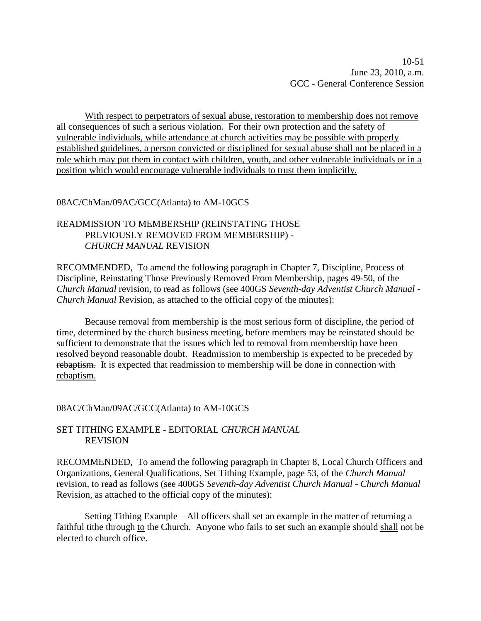10-51 June 23, 2010, a.m. GCC - General Conference Session

With respect to perpetrators of sexual abuse, restoration to membership does not remove all consequences of such a serious violation. For their own protection and the safety of vulnerable individuals, while attendance at church activities may be possible with properly established guidelines, a person convicted or disciplined for sexual abuse shall not be placed in a role which may put them in contact with children, youth, and other vulnerable individuals or in a position which would encourage vulnerable individuals to trust them implicitly.

### 08AC/ChMan/09AC/GCC(Atlanta) to AM-10GCS

## READMISSION TO MEMBERSHIP (REINSTATING THOSE PREVIOUSLY REMOVED FROM MEMBERSHIP) - *CHURCH MANUAL* REVISION

RECOMMENDED, To amend the following paragraph in Chapter 7, Discipline, Process of Discipline, Reinstating Those Previously Removed From Membership, pages 49-50, of the *Church Manual* revision, to read as follows (see 400GS *Seventh-day Adventist Church Manual* - *Church Manual* Revision, as attached to the official copy of the minutes):

Because removal from membership is the most serious form of discipline, the period of time, determined by the church business meeting, before members may be reinstated should be sufficient to demonstrate that the issues which led to removal from membership have been resolved beyond reasonable doubt. Readmission to membership is expected to be preceded by rebaptism. It is expected that readmission to membership will be done in connection with rebaptism.

#### 08AC/ChMan/09AC/GCC(Atlanta) to AM-10GCS

### SET TITHING EXAMPLE - EDITORIAL *CHURCH MANUAL* REVISION

RECOMMENDED, To amend the following paragraph in Chapter 8, Local Church Officers and Organizations, General Qualifications, Set Tithing Example, page 53, of the *Church Manual* revision, to read as follows (see 400GS *Seventh-day Adventist Church Manual* - *Church Manual* Revision, as attached to the official copy of the minutes):

Setting Tithing Example—All officers shall set an example in the matter of returning a faithful tithe through to the Church. Anyone who fails to set such an example should shall not be elected to church office.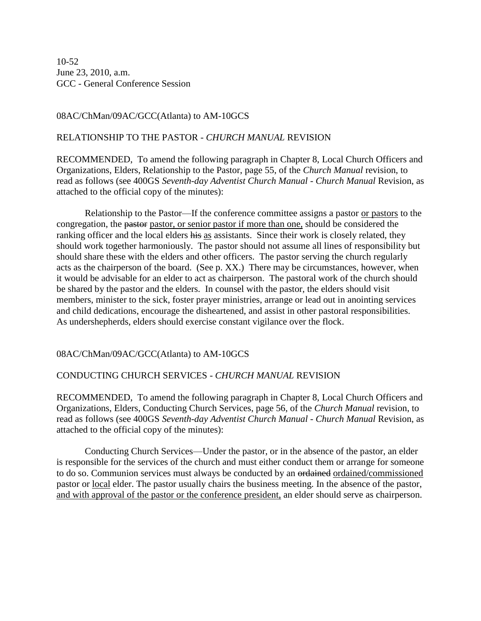10-52 June 23, 2010, a.m. GCC - General Conference Session

## 08AC/ChMan/09AC/GCC(Atlanta) to AM-10GCS

## RELATIONSHIP TO THE PASTOR - *CHURCH MANUAL* REVISION

RECOMMENDED, To amend the following paragraph in Chapter 8, Local Church Officers and Organizations, Elders, Relationship to the Pastor, page 55, of the *Church Manual* revision, to read as follows (see 400GS *Seventh-day Adventist Church Manual* - *Church Manual* Revision, as attached to the official copy of the minutes):

Relationship to the Pastor—If the conference committee assigns a pastor or pastors to the congregation, the pastor pastor, or senior pastor if more than one, should be considered the ranking officer and the local elders his as assistants. Since their work is closely related, they should work together harmoniously. The pastor should not assume all lines of responsibility but should share these with the elders and other officers. The pastor serving the church regularly acts as the chairperson of the board. (See p. XX.) There may be circumstances, however, when it would be advisable for an elder to act as chairperson. The pastoral work of the church should be shared by the pastor and the elders. In counsel with the pastor, the elders should visit members, minister to the sick, foster prayer ministries, arrange or lead out in anointing services and child dedications, encourage the disheartened, and assist in other pastoral responsibilities. As undershepherds, elders should exercise constant vigilance over the flock.

## 08AC/ChMan/09AC/GCC(Atlanta) to AM-10GCS

### CONDUCTING CHURCH SERVICES - *CHURCH MANUAL* REVISION

RECOMMENDED, To amend the following paragraph in Chapter 8, Local Church Officers and Organizations, Elders, Conducting Church Services, page 56, of the *Church Manual* revision, to read as follows (see 400GS *Seventh-day Adventist Church Manual* - *Church Manual* Revision, as attached to the official copy of the minutes):

Conducting Church Services—Under the pastor, or in the absence of the pastor, an elder is responsible for the services of the church and must either conduct them or arrange for someone to do so. Communion services must always be conducted by an ordained ordained/commissioned pastor or local elder. The pastor usually chairs the business meeting. In the absence of the pastor, and with approval of the pastor or the conference president, an elder should serve as chairperson.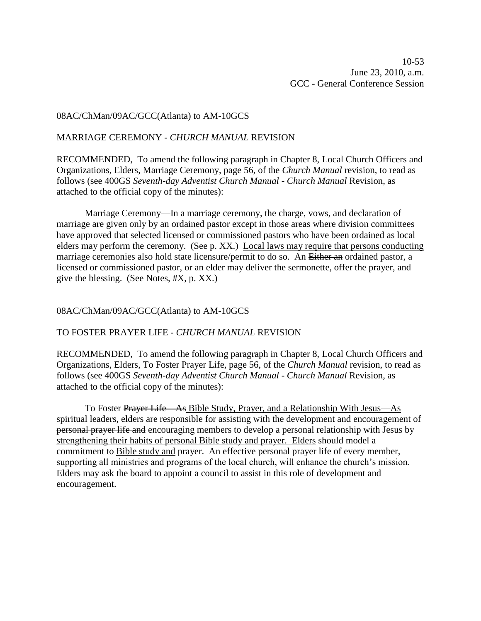### 08AC/ChMan/09AC/GCC(Atlanta) to AM-10GCS

### MARRIAGE CEREMONY - *CHURCH MANUAL* REVISION

RECOMMENDED, To amend the following paragraph in Chapter 8, Local Church Officers and Organizations, Elders, Marriage Ceremony, page 56, of the *Church Manual* revision, to read as follows (see 400GS *Seventh-day Adventist Church Manual* - *Church Manual* Revision, as attached to the official copy of the minutes):

Marriage Ceremony—In a marriage ceremony, the charge, vows, and declaration of marriage are given only by an ordained pastor except in those areas where division committees have approved that selected licensed or commissioned pastors who have been ordained as local elders may perform the ceremony. (See p. XX.) Local laws may require that persons conducting marriage ceremonies also hold state licensure/permit to do so. An Either an ordained pastor, a licensed or commissioned pastor, or an elder may deliver the sermonette, offer the prayer, and give the blessing. (See Notes, #X, p. XX.)

### 08AC/ChMan/09AC/GCC(Atlanta) to AM-10GCS

### TO FOSTER PRAYER LIFE - *CHURCH MANUAL* REVISION

RECOMMENDED, To amend the following paragraph in Chapter 8, Local Church Officers and Organizations, Elders, To Foster Prayer Life, page 56, of the *Church Manual* revision, to read as follows (see 400GS *Seventh-day Adventist Church Manual* - *Church Manual* Revision, as attached to the official copy of the minutes):

To Foster Prayer Life—As Bible Study, Prayer, and a Relationship With Jesus—As spiritual leaders, elders are responsible for assisting with the development and encouragement of personal prayer life and encouraging members to develop a personal relationship with Jesus by strengthening their habits of personal Bible study and prayer. Elders should model a commitment to Bible study and prayer. An effective personal prayer life of every member, supporting all ministries and programs of the local church, will enhance the church's mission. Elders may ask the board to appoint a council to assist in this role of development and encouragement.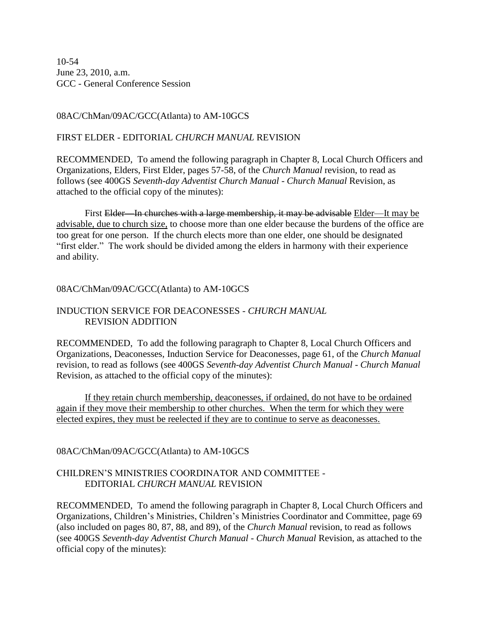10-54 June 23, 2010, a.m. GCC - General Conference Session

08AC/ChMan/09AC/GCC(Atlanta) to AM-10GCS

## FIRST ELDER - EDITORIAL *CHURCH MANUAL* REVISION

RECOMMENDED, To amend the following paragraph in Chapter 8, Local Church Officers and Organizations, Elders, First Elder, pages 57-58, of the *Church Manual* revision, to read as follows (see 400GS *Seventh-day Adventist Church Manual* - *Church Manual* Revision, as attached to the official copy of the minutes):

First Elder—In churches with a large membership, it may be advisable Elder—It may be advisable, due to church size, to choose more than one elder because the burdens of the office are too great for one person. If the church elects more than one elder, one should be designated "first elder." The work should be divided among the elders in harmony with their experience and ability.

## 08AC/ChMan/09AC/GCC(Atlanta) to AM-10GCS

## INDUCTION SERVICE FOR DEACONESSES - *CHURCH MANUAL* REVISION ADDITION

RECOMMENDED, To add the following paragraph to Chapter 8, Local Church Officers and Organizations, Deaconesses, Induction Service for Deaconesses, page 61, of the *Church Manual* revision, to read as follows (see 400GS *Seventh-day Adventist Church Manual* - *Church Manual* Revision, as attached to the official copy of the minutes):

If they retain church membership, deaconesses, if ordained, do not have to be ordained again if they move their membership to other churches. When the term for which they were elected expires, they must be reelected if they are to continue to serve as deaconesses.

# 08AC/ChMan/09AC/GCC(Atlanta) to AM-10GCS

# CHILDREN'S MINISTRIES COORDINATOR AND COMMITTEE - EDITORIAL *CHURCH MANUAL* REVISION

RECOMMENDED, To amend the following paragraph in Chapter 8, Local Church Officers and Organizations, Children's Ministries, Children's Ministries Coordinator and Committee, page 69 (also included on pages 80, 87, 88, and 89), of the *Church Manual* revision, to read as follows (see 400GS *Seventh-day Adventist Church Manual* - *Church Manual* Revision, as attached to the official copy of the minutes):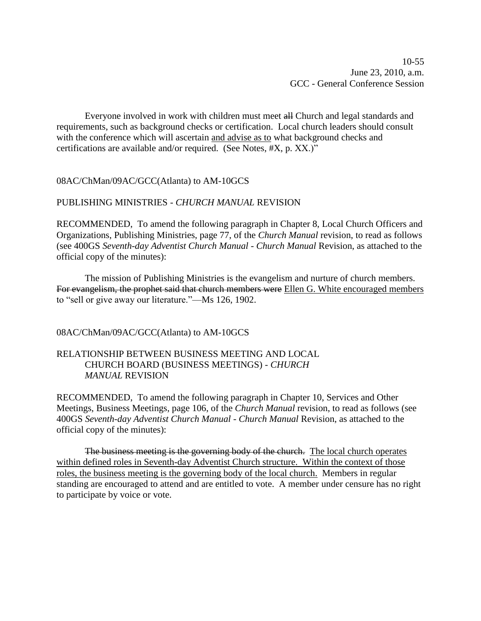Everyone involved in work with children must meet all Church and legal standards and requirements, such as background checks or certification. Local church leaders should consult with the conference which will ascertain and advise as to what background checks and certifications are available and/or required. (See Notes, #X, p. XX.)"

08AC/ChMan/09AC/GCC(Atlanta) to AM-10GCS

## PUBLISHING MINISTRIES - *CHURCH MANUAL* REVISION

RECOMMENDED, To amend the following paragraph in Chapter 8, Local Church Officers and Organizations, Publishing Ministries, page 77, of the *Church Manual* revision, to read as follows (see 400GS *Seventh-day Adventist Church Manual* - *Church Manual* Revision, as attached to the official copy of the minutes):

The mission of Publishing Ministries is the evangelism and nurture of church members. For evangelism, the prophet said that church members were Ellen G. White encouraged members to "sell or give away our literature."—Ms 126, 1902.

## 08AC/ChMan/09AC/GCC(Atlanta) to AM-10GCS

## RELATIONSHIP BETWEEN BUSINESS MEETING AND LOCAL CHURCH BOARD (BUSINESS MEETINGS) - *CHURCH MANUAL* REVISION

RECOMMENDED, To amend the following paragraph in Chapter 10, Services and Other Meetings, Business Meetings, page 106, of the *Church Manual* revision, to read as follows (see 400GS *Seventh-day Adventist Church Manual* - *Church Manual* Revision, as attached to the official copy of the minutes):

The business meeting is the governing body of the church. The local church operates within defined roles in Seventh-day Adventist Church structure. Within the context of those roles, the business meeting is the governing body of the local church. Members in regular standing are encouraged to attend and are entitled to vote. A member under censure has no right to participate by voice or vote.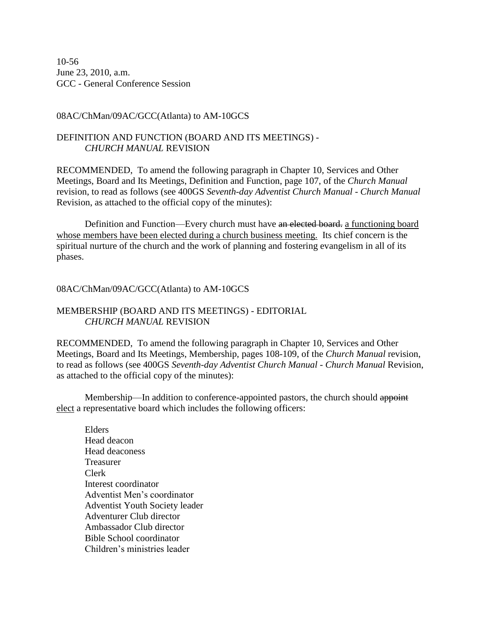10-56 June 23, 2010, a.m. GCC - General Conference Session

## 08AC/ChMan/09AC/GCC(Atlanta) to AM-10GCS

## DEFINITION AND FUNCTION (BOARD AND ITS MEETINGS) - *CHURCH MANUAL* REVISION

RECOMMENDED, To amend the following paragraph in Chapter 10, Services and Other Meetings, Board and Its Meetings, Definition and Function, page 107, of the *Church Manual* revision, to read as follows (see 400GS *Seventh-day Adventist Church Manual* - *Church Manual* Revision, as attached to the official copy of the minutes):

Definition and Function—Every church must have an elected board. a functioning board whose members have been elected during a church business meeting. Its chief concern is the spiritual nurture of the church and the work of planning and fostering evangelism in all of its phases.

## 08AC/ChMan/09AC/GCC(Atlanta) to AM-10GCS

## MEMBERSHIP (BOARD AND ITS MEETINGS) - EDITORIAL *CHURCH MANUAL* REVISION

RECOMMENDED, To amend the following paragraph in Chapter 10, Services and Other Meetings, Board and Its Meetings, Membership, pages 108-109, of the *Church Manual* revision, to read as follows (see 400GS *Seventh-day Adventist Church Manual* - *Church Manual* Revision, as attached to the official copy of the minutes):

Membership—In addition to conference-appointed pastors, the church should appoint elect a representative board which includes the following officers:

Elders Head deacon Head deaconess Treasurer Clerk Interest coordinator Adventist Men's coordinator Adventist Youth Society leader Adventurer Club director Ambassador Club director Bible School coordinator Children's ministries leader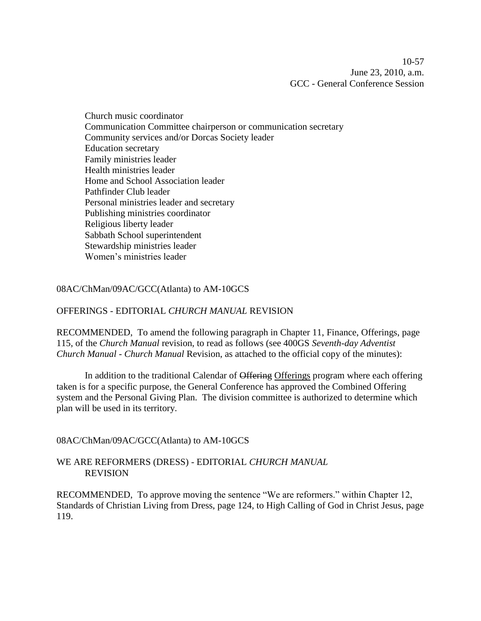10-57 June 23, 2010, a.m. GCC - General Conference Session

Church music coordinator Communication Committee chairperson or communication secretary Community services and/or Dorcas Society leader Education secretary Family ministries leader Health ministries leader Home and School Association leader Pathfinder Club leader Personal ministries leader and secretary Publishing ministries coordinator Religious liberty leader Sabbath School superintendent Stewardship ministries leader Women's ministries leader

## 08AC/ChMan/09AC/GCC(Atlanta) to AM-10GCS

### OFFERINGS - EDITORIAL *CHURCH MANUAL* REVISION

RECOMMENDED, To amend the following paragraph in Chapter 11, Finance, Offerings, page 115, of the *Church Manual* revision, to read as follows (see 400GS *Seventh-day Adventist Church Manual* - *Church Manual* Revision, as attached to the official copy of the minutes):

In addition to the traditional Calendar of Offering Offerings program where each offering taken is for a specific purpose, the General Conference has approved the Combined Offering system and the Personal Giving Plan. The division committee is authorized to determine which plan will be used in its territory.

08AC/ChMan/09AC/GCC(Atlanta) to AM-10GCS

## WE ARE REFORMERS (DRESS) - EDITORIAL *CHURCH MANUAL* REVISION

RECOMMENDED, To approve moving the sentence "We are reformers." within Chapter 12, Standards of Christian Living from Dress, page 124, to High Calling of God in Christ Jesus, page 119.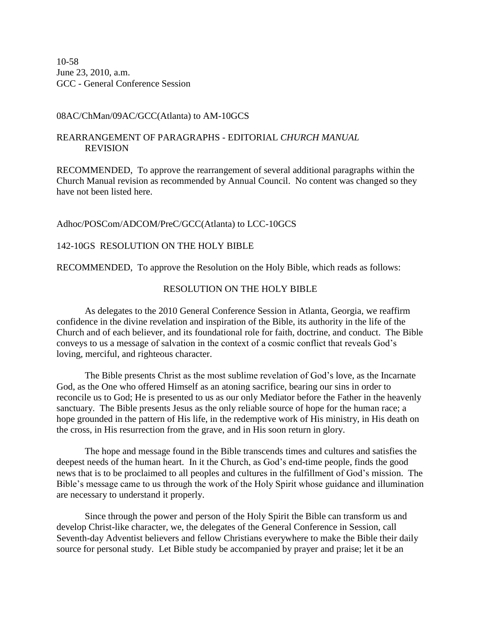10-58 June 23, 2010, a.m. GCC - General Conference Session

### 08AC/ChMan/09AC/GCC(Atlanta) to AM-10GCS

## REARRANGEMENT OF PARAGRAPHS - EDITORIAL *CHURCH MANUAL* REVISION

RECOMMENDED, To approve the rearrangement of several additional paragraphs within the Church Manual revision as recommended by Annual Council. No content was changed so they have not been listed here.

### Adhoc/POSCom/ADCOM/PreC/GCC(Atlanta) to LCC-10GCS

## 142-10GS RESOLUTION ON THE HOLY BIBLE

RECOMMENDED, To approve the Resolution on the Holy Bible, which reads as follows:

## RESOLUTION ON THE HOLY BIBLE

As delegates to the 2010 General Conference Session in Atlanta, Georgia, we reaffirm confidence in the divine revelation and inspiration of the Bible, its authority in the life of the Church and of each believer, and its foundational role for faith, doctrine, and conduct. The Bible conveys to us a message of salvation in the context of a cosmic conflict that reveals God's loving, merciful, and righteous character.

The Bible presents Christ as the most sublime revelation of God's love, as the Incarnate God, as the One who offered Himself as an atoning sacrifice, bearing our sins in order to reconcile us to God; He is presented to us as our only Mediator before the Father in the heavenly sanctuary. The Bible presents Jesus as the only reliable source of hope for the human race; a hope grounded in the pattern of His life, in the redemptive work of His ministry, in His death on the cross, in His resurrection from the grave, and in His soon return in glory.

The hope and message found in the Bible transcends times and cultures and satisfies the deepest needs of the human heart. In it the Church, as God's end-time people, finds the good news that is to be proclaimed to all peoples and cultures in the fulfillment of God's mission. The Bible's message came to us through the work of the Holy Spirit whose guidance and illumination are necessary to understand it properly.

Since through the power and person of the Holy Spirit the Bible can transform us and develop Christ-like character, we, the delegates of the General Conference in Session, call Seventh-day Adventist believers and fellow Christians everywhere to make the Bible their daily source for personal study. Let Bible study be accompanied by prayer and praise; let it be an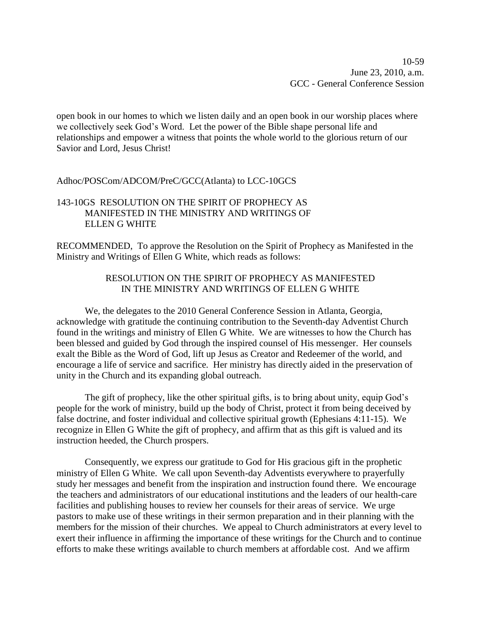open book in our homes to which we listen daily and an open book in our worship places where we collectively seek God's Word. Let the power of the Bible shape personal life and relationships and empower a witness that points the whole world to the glorious return of our Savior and Lord, Jesus Christ!

## Adhoc/POSCom/ADCOM/PreC/GCC(Atlanta) to LCC-10GCS

## 143-10GS RESOLUTION ON THE SPIRIT OF PROPHECY AS MANIFESTED IN THE MINISTRY AND WRITINGS OF ELLEN G WHITE

RECOMMENDED, To approve the Resolution on the Spirit of Prophecy as Manifested in the Ministry and Writings of Ellen G White, which reads as follows:

## RESOLUTION ON THE SPIRIT OF PROPHECY AS MANIFESTED IN THE MINISTRY AND WRITINGS OF ELLEN G WHITE

We, the delegates to the 2010 General Conference Session in Atlanta, Georgia, acknowledge with gratitude the continuing contribution to the Seventh-day Adventist Church found in the writings and ministry of Ellen G White. We are witnesses to how the Church has been blessed and guided by God through the inspired counsel of His messenger. Her counsels exalt the Bible as the Word of God, lift up Jesus as Creator and Redeemer of the world, and encourage a life of service and sacrifice. Her ministry has directly aided in the preservation of unity in the Church and its expanding global outreach.

The gift of prophecy, like the other spiritual gifts, is to bring about unity, equip God's people for the work of ministry, build up the body of Christ, protect it from being deceived by false doctrine, and foster individual and collective spiritual growth (Ephesians 4:11-15). We recognize in Ellen G White the gift of prophecy, and affirm that as this gift is valued and its instruction heeded, the Church prospers.

Consequently, we express our gratitude to God for His gracious gift in the prophetic ministry of Ellen G White. We call upon Seventh-day Adventists everywhere to prayerfully study her messages and benefit from the inspiration and instruction found there. We encourage the teachers and administrators of our educational institutions and the leaders of our health-care facilities and publishing houses to review her counsels for their areas of service. We urge pastors to make use of these writings in their sermon preparation and in their planning with the members for the mission of their churches. We appeal to Church administrators at every level to exert their influence in affirming the importance of these writings for the Church and to continue efforts to make these writings available to church members at affordable cost. And we affirm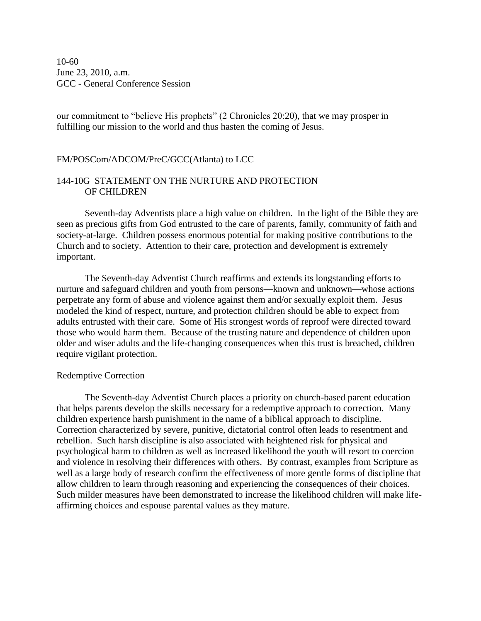10-60 June 23, 2010, a.m. GCC - General Conference Session

our commitment to "believe His prophets" (2 Chronicles 20:20), that we may prosper in fulfilling our mission to the world and thus hasten the coming of Jesus.

## FM/POSCom/ADCOM/PreC/GCC(Atlanta) to LCC

## 144-10G STATEMENT ON THE NURTURE AND PROTECTION OF CHILDREN

Seventh-day Adventists place a high value on children. In the light of the Bible they are seen as precious gifts from God entrusted to the care of parents, family, community of faith and society-at-large. Children possess enormous potential for making positive contributions to the Church and to society. Attention to their care, protection and development is extremely important.

The Seventh-day Adventist Church reaffirms and extends its longstanding efforts to nurture and safeguard children and youth from persons—known and unknown—whose actions perpetrate any form of abuse and violence against them and/or sexually exploit them. Jesus modeled the kind of respect, nurture, and protection children should be able to expect from adults entrusted with their care. Some of His strongest words of reproof were directed toward those who would harm them. Because of the trusting nature and dependence of children upon older and wiser adults and the life-changing consequences when this trust is breached, children require vigilant protection.

### Redemptive Correction

The Seventh-day Adventist Church places a priority on church-based parent education that helps parents develop the skills necessary for a redemptive approach to correction. Many children experience harsh punishment in the name of a biblical approach to discipline. Correction characterized by severe, punitive, dictatorial control often leads to resentment and rebellion. Such harsh discipline is also associated with heightened risk for physical and psychological harm to children as well as increased likelihood the youth will resort to coercion and violence in resolving their differences with others. By contrast, examples from Scripture as well as a large body of research confirm the effectiveness of more gentle forms of discipline that allow children to learn through reasoning and experiencing the consequences of their choices. Such milder measures have been demonstrated to increase the likelihood children will make lifeaffirming choices and espouse parental values as they mature.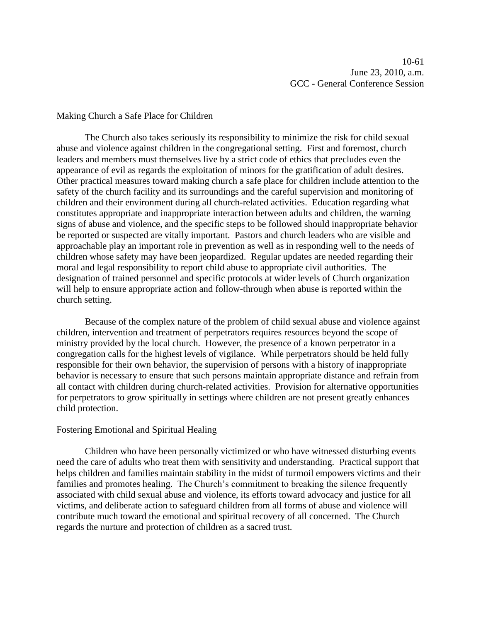10-61 June 23, 2010, a.m. GCC - General Conference Session

### Making Church a Safe Place for Children

The Church also takes seriously its responsibility to minimize the risk for child sexual abuse and violence against children in the congregational setting. First and foremost, church leaders and members must themselves live by a strict code of ethics that precludes even the appearance of evil as regards the exploitation of minors for the gratification of adult desires. Other practical measures toward making church a safe place for children include attention to the safety of the church facility and its surroundings and the careful supervision and monitoring of children and their environment during all church-related activities. Education regarding what constitutes appropriate and inappropriate interaction between adults and children, the warning signs of abuse and violence, and the specific steps to be followed should inappropriate behavior be reported or suspected are vitally important. Pastors and church leaders who are visible and approachable play an important role in prevention as well as in responding well to the needs of children whose safety may have been jeopardized. Regular updates are needed regarding their moral and legal responsibility to report child abuse to appropriate civil authorities. The designation of trained personnel and specific protocols at wider levels of Church organization will help to ensure appropriate action and follow-through when abuse is reported within the church setting.

Because of the complex nature of the problem of child sexual abuse and violence against children, intervention and treatment of perpetrators requires resources beyond the scope of ministry provided by the local church. However, the presence of a known perpetrator in a congregation calls for the highest levels of vigilance. While perpetrators should be held fully responsible for their own behavior, the supervision of persons with a history of inappropriate behavior is necessary to ensure that such persons maintain appropriate distance and refrain from all contact with children during church-related activities. Provision for alternative opportunities for perpetrators to grow spiritually in settings where children are not present greatly enhances child protection.

### Fostering Emotional and Spiritual Healing

Children who have been personally victimized or who have witnessed disturbing events need the care of adults who treat them with sensitivity and understanding. Practical support that helps children and families maintain stability in the midst of turmoil empowers victims and their families and promotes healing. The Church's commitment to breaking the silence frequently associated with child sexual abuse and violence, its efforts toward advocacy and justice for all victims, and deliberate action to safeguard children from all forms of abuse and violence will contribute much toward the emotional and spiritual recovery of all concerned. The Church regards the nurture and protection of children as a sacred trust.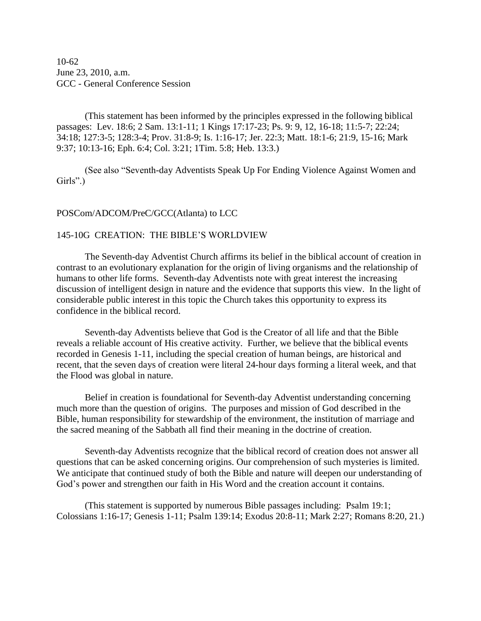10-62 June 23, 2010, a.m. GCC - General Conference Session

(This statement has been informed by the principles expressed in the following biblical passages: Lev. 18:6; 2 Sam. 13:1-11; 1 Kings 17:17-23; Ps. 9: 9, 12, 16-18; 11:5-7; 22:24; 34:18; 127:3-5; 128:3-4; Prov. 31:8-9; Is. 1:16-17; Jer. 22:3; Matt. 18:1-6; 21:9, 15-16; Mark 9:37; 10:13-16; Eph. 6:4; Col. 3:21; 1Tim. 5:8; Heb. 13:3.)

(See also "Seventh-day Adventists Speak Up For Ending Violence Against Women and Girls".)

### POSCom/ADCOM/PreC/GCC(Atlanta) to LCC

### 145-10G CREATION: THE BIBLE'S WORLDVIEW

The Seventh-day Adventist Church affirms its belief in the biblical account of creation in contrast to an evolutionary explanation for the origin of living organisms and the relationship of humans to other life forms. Seventh-day Adventists note with great interest the increasing discussion of intelligent design in nature and the evidence that supports this view. In the light of considerable public interest in this topic the Church takes this opportunity to express its confidence in the biblical record.

Seventh-day Adventists believe that God is the Creator of all life and that the Bible reveals a reliable account of His creative activity. Further, we believe that the biblical events recorded in Genesis 1-11, including the special creation of human beings, are historical and recent, that the seven days of creation were literal 24-hour days forming a literal week, and that the Flood was global in nature.

Belief in creation is foundational for Seventh-day Adventist understanding concerning much more than the question of origins. The purposes and mission of God described in the Bible, human responsibility for stewardship of the environment, the institution of marriage and the sacred meaning of the Sabbath all find their meaning in the doctrine of creation.

Seventh-day Adventists recognize that the biblical record of creation does not answer all questions that can be asked concerning origins. Our comprehension of such mysteries is limited. We anticipate that continued study of both the Bible and nature will deepen our understanding of God's power and strengthen our faith in His Word and the creation account it contains.

(This statement is supported by numerous Bible passages including: Psalm 19:1; Colossians 1:16-17; Genesis 1-11; Psalm 139:14; Exodus 20:8-11; Mark 2:27; Romans 8:20, 21.)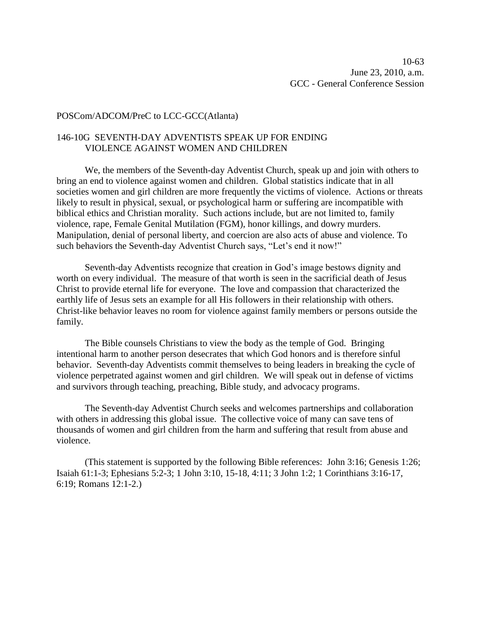### POSCom/ADCOM/PreC to LCC-GCC(Atlanta)

## 146-10G SEVENTH-DAY ADVENTISTS SPEAK UP FOR ENDING VIOLENCE AGAINST WOMEN AND CHILDREN

We, the members of the Seventh-day Adventist Church, speak up and join with others to bring an end to violence against women and children. Global statistics indicate that in all societies women and girl children are more frequently the victims of violence. Actions or threats likely to result in physical, sexual, or psychological harm or suffering are incompatible with biblical ethics and Christian morality. Such actions include, but are not limited to, family violence, rape, Female Genital Mutilation (FGM), honor killings, and dowry murders. Manipulation, denial of personal liberty, and coercion are also acts of abuse and violence. To such behaviors the Seventh-day Adventist Church says, "Let's end it now!"

Seventh-day Adventists recognize that creation in God's image bestows dignity and worth on every individual. The measure of that worth is seen in the sacrificial death of Jesus Christ to provide eternal life for everyone. The love and compassion that characterized the earthly life of Jesus sets an example for all His followers in their relationship with others. Christ-like behavior leaves no room for violence against family members or persons outside the family.

The Bible counsels Christians to view the body as the temple of God. Bringing intentional harm to another person desecrates that which God honors and is therefore sinful behavior. Seventh-day Adventists commit themselves to being leaders in breaking the cycle of violence perpetrated against women and girl children. We will speak out in defense of victims and survivors through teaching, preaching, Bible study, and advocacy programs.

The Seventh-day Adventist Church seeks and welcomes partnerships and collaboration with others in addressing this global issue. The collective voice of many can save tens of thousands of women and girl children from the harm and suffering that result from abuse and violence.

(This statement is supported by the following Bible references: John 3:16; Genesis 1:26; Isaiah 61:1-3; Ephesians 5:2-3; 1 John 3:10, 15-18, 4:11; 3 John 1:2; 1 Corinthians 3:16-17, 6:19; Romans 12:1-2.)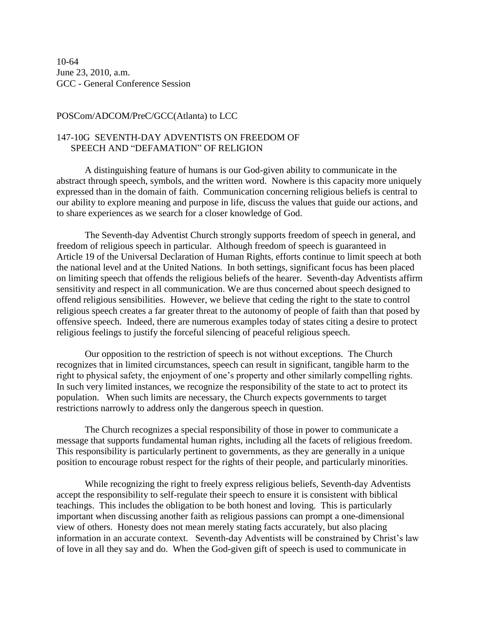10-64 June 23, 2010, a.m. GCC - General Conference Session

### POSCom/ADCOM/PreC/GCC(Atlanta) to LCC

## 147-10G SEVENTH-DAY ADVENTISTS ON FREEDOM OF SPEECH AND "DEFAMATION" OF RELIGION

A distinguishing feature of humans is our God-given ability to communicate in the abstract through speech, symbols, and the written word. Nowhere is this capacity more uniquely expressed than in the domain of faith. Communication concerning religious beliefs is central to our ability to explore meaning and purpose in life, discuss the values that guide our actions, and to share experiences as we search for a closer knowledge of God.

The Seventh-day Adventist Church strongly supports freedom of speech in general, and freedom of religious speech in particular. Although freedom of speech is guaranteed in Article 19 of the Universal Declaration of Human Rights, efforts continue to limit speech at both the national level and at the United Nations. In both settings, significant focus has been placed on limiting speech that offends the religious beliefs of the hearer. Seventh-day Adventists affirm sensitivity and respect in all communication. We are thus concerned about speech designed to offend religious sensibilities. However, we believe that ceding the right to the state to control religious speech creates a far greater threat to the autonomy of people of faith than that posed by offensive speech. Indeed, there are numerous examples today of states citing a desire to protect religious feelings to justify the forceful silencing of peaceful religious speech.

Our opposition to the restriction of speech is not without exceptions. The Church recognizes that in limited circumstances, speech can result in significant, tangible harm to the right to physical safety, the enjoyment of one's property and other similarly compelling rights. In such very limited instances, we recognize the responsibility of the state to act to protect its population. When such limits are necessary, the Church expects governments to target restrictions narrowly to address only the dangerous speech in question.

The Church recognizes a special responsibility of those in power to communicate a message that supports fundamental human rights, including all the facets of religious freedom. This responsibility is particularly pertinent to governments, as they are generally in a unique position to encourage robust respect for the rights of their people, and particularly minorities.

While recognizing the right to freely express religious beliefs, Seventh-day Adventists accept the responsibility to self-regulate their speech to ensure it is consistent with biblical teachings. This includes the obligation to be both honest and loving. This is particularly important when discussing another faith as religious passions can prompt a one-dimensional view of others. Honesty does not mean merely stating facts accurately, but also placing information in an accurate context. Seventh-day Adventists will be constrained by Christ's law of love in all they say and do. When the God-given gift of speech is used to communicate in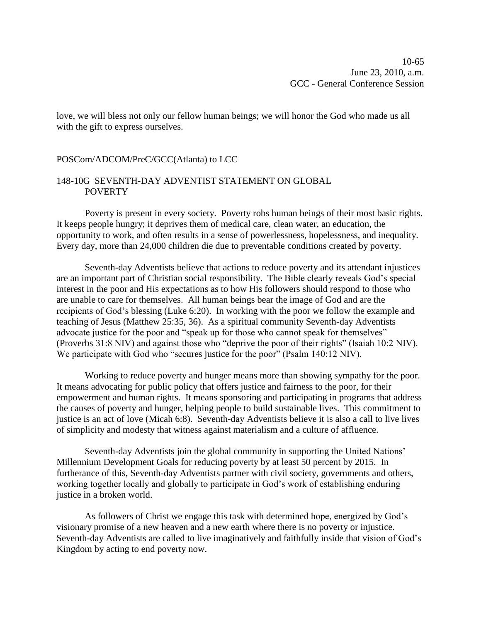10-65 June 23, 2010, a.m. GCC - General Conference Session

love, we will bless not only our fellow human beings; we will honor the God who made us all with the gift to express ourselves.

#### POSCom/ADCOM/PreC/GCC(Atlanta) to LCC

### 148-10G SEVENTH-DAY ADVENTIST STATEMENT ON GLOBAL **POVERTY**

Poverty is present in every society. Poverty robs human beings of their most basic rights. It keeps people hungry; it deprives them of medical care, clean water, an education, the opportunity to work, and often results in a sense of powerlessness, hopelessness, and inequality. Every day, more than 24,000 children die due to preventable conditions created by poverty.

Seventh-day Adventists believe that actions to reduce poverty and its attendant injustices are an important part of Christian social responsibility. The Bible clearly reveals God's special interest in the poor and His expectations as to how His followers should respond to those who are unable to care for themselves. All human beings bear the image of God and are the recipients of God's blessing (Luke 6:20). In working with the poor we follow the example and teaching of Jesus (Matthew 25:35, 36). As a spiritual community Seventh-day Adventists advocate justice for the poor and "speak up for those who cannot speak for themselves" (Proverbs 31:8 NIV) and against those who "deprive the poor of their rights" (Isaiah 10:2 NIV). We participate with God who "secures justice for the poor" (Psalm 140:12 NIV).

Working to reduce poverty and hunger means more than showing sympathy for the poor. It means advocating for public policy that offers justice and fairness to the poor, for their empowerment and human rights. It means sponsoring and participating in programs that address the causes of poverty and hunger, helping people to build sustainable lives. This commitment to justice is an act of love (Micah 6:8). Seventh-day Adventists believe it is also a call to live lives of simplicity and modesty that witness against materialism and a culture of affluence.

Seventh-day Adventists join the global community in supporting the United Nations' Millennium Development Goals for reducing poverty by at least 50 percent by 2015. In furtherance of this, Seventh-day Adventists partner with civil society, governments and others, working together locally and globally to participate in God's work of establishing enduring justice in a broken world.

As followers of Christ we engage this task with determined hope, energized by God's visionary promise of a new heaven and a new earth where there is no poverty or injustice. Seventh-day Adventists are called to live imaginatively and faithfully inside that vision of God's Kingdom by acting to end poverty now.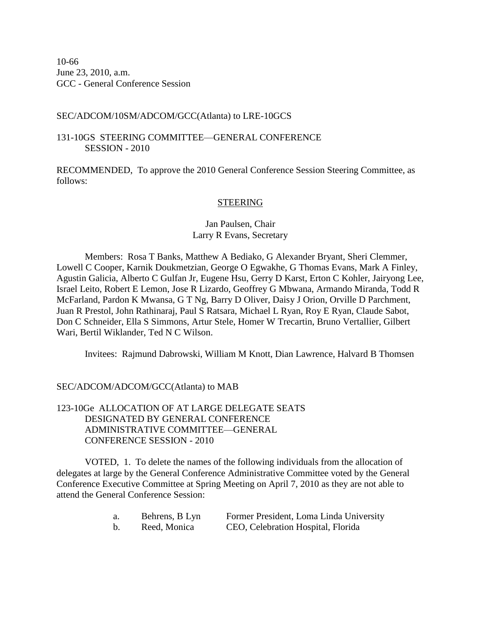10-66 June 23, 2010, a.m. GCC - General Conference Session

## SEC/ADCOM/10SM/ADCOM/GCC(Atlanta) to LRE-10GCS

## 131-10GS STEERING COMMITTEE—GENERAL CONFERENCE SESSION - 2010

RECOMMENDED, To approve the 2010 General Conference Session Steering Committee, as follows:

## **STEERING**

# Jan Paulsen, Chair Larry R Evans, Secretary

Members: Rosa T Banks, Matthew A Bediako, G Alexander Bryant, Sheri Clemmer, Lowell C Cooper, Karnik Doukmetzian, George O Egwakhe, G Thomas Evans, Mark A Finley, Agustin Galicia, Alberto C Gulfan Jr, Eugene Hsu, Gerry D Karst, Erton C Kohler, Jairyong Lee, Israel Leito, Robert E Lemon, Jose R Lizardo, Geoffrey G Mbwana, Armando Miranda, Todd R McFarland, Pardon K Mwansa, G T Ng, Barry D Oliver, Daisy J Orion, Orville D Parchment, Juan R Prestol, John Rathinaraj, Paul S Ratsara, Michael L Ryan, Roy E Ryan, Claude Sabot, Don C Schneider, Ella S Simmons, Artur Stele, Homer W Trecartin, Bruno Vertallier, Gilbert Wari, Bertil Wiklander, Ted N C Wilson.

Invitees: Rajmund Dabrowski, William M Knott, Dian Lawrence, Halvard B Thomsen

# SEC/ADCOM/ADCOM/GCC(Atlanta) to MAB

## 123-10Ge ALLOCATION OF AT LARGE DELEGATE SEATS DESIGNATED BY GENERAL CONFERENCE ADMINISTRATIVE COMMITTEE—GENERAL CONFERENCE SESSION - 2010

VOTED, 1. To delete the names of the following individuals from the allocation of delegates at large by the General Conference Administrative Committee voted by the General Conference Executive Committee at Spring Meeting on April 7, 2010 as they are not able to attend the General Conference Session:

| a. | Behrens, B Lyn | Former President, Loma Linda University |
|----|----------------|-----------------------------------------|
|    | Reed, Monica   | CEO, Celebration Hospital, Florida      |